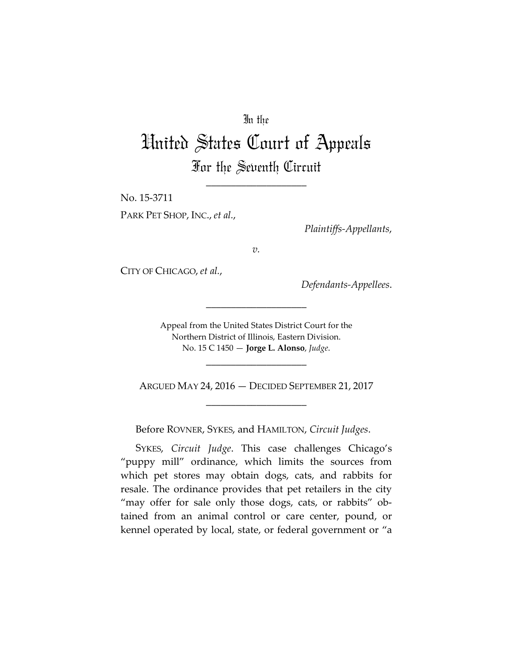# In the

# United States Court of Appeals For the Seventh Circuit

\_\_\_\_\_\_\_\_\_\_\_\_\_\_\_\_\_\_\_\_

No. 15-3711

PARK PET SHOP, INC., *et al.*,

*Plaintiffs-Appellants*,

*v.*

CITY OF CHICAGO, *et al.*,

*Defendants-Appellees*.

Appeal from the United States District Court for the Northern District of Illinois, Eastern Division. No. 15 C 1450 — **Jorge L. Alonso**, *Judge*.

\_\_\_\_\_\_\_\_\_\_\_\_\_\_\_\_\_\_\_\_

\_\_\_\_\_\_\_\_\_\_\_\_\_\_\_\_\_\_\_\_

ARGUED MAY 24, 2016 — DECIDED SEPTEMBER 21, 2017 \_\_\_\_\_\_\_\_\_\_\_\_\_\_\_\_\_\_\_\_

Before ROVNER, SYKES, and HAMILTON, *Circuit Judges*.

SYKES, *Circuit Judge*. This case challenges Chicago's "puppy mill" ordinance, which limits the sources from which pet stores may obtain dogs, cats, and rabbits for resale. The ordinance provides that pet retailers in the city "may offer for sale only those dogs, cats, or rabbits" obtained from an animal control or care center, pound, or kennel operated by local, state, or federal government or "a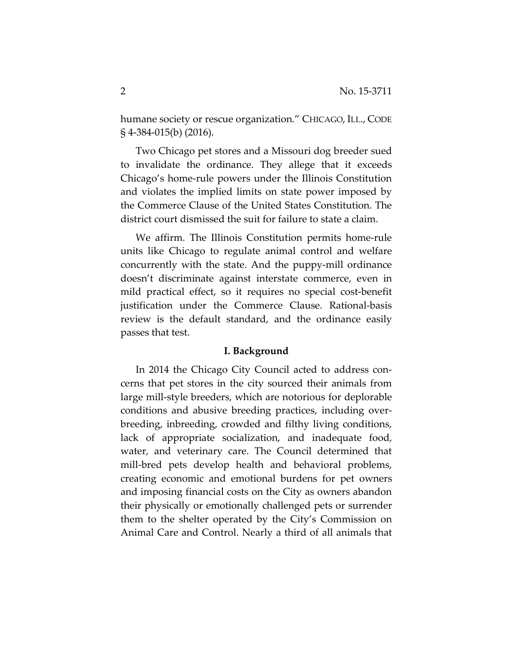humane society or rescue organization." CHICAGO, ILL., CODE § 4-384-015(b) (2016).

Two Chicago pet stores and a Missouri dog breeder sued to invalidate the ordinance. They allege that it exceeds Chicago's home-rule powers under the Illinois Constitution and violates the implied limits on state power imposed by the Commerce Clause of the United States Constitution. The district court dismissed the suit for failure to state a claim.

We affirm. The Illinois Constitution permits home-rule units like Chicago to regulate animal control and welfare concurrently with the state. And the puppy-mill ordinance doesn't discriminate against interstate commerce, even in mild practical effect, so it requires no special cost-benefit justification under the Commerce Clause. Rational-basis review is the default standard, and the ordinance easily passes that test.

### **I. Background**

In 2014 the Chicago City Council acted to address concerns that pet stores in the city sourced their animals from large mill-style breeders, which are notorious for deplorable conditions and abusive breeding practices, including overbreeding, inbreeding, crowded and filthy living conditions, lack of appropriate socialization, and inadequate food, water, and veterinary care. The Council determined that mill-bred pets develop health and behavioral problems, creating economic and emotional burdens for pet owners and imposing financial costs on the City as owners abandon their physically or emotionally challenged pets or surrender them to the shelter operated by the City's Commission on Animal Care and Control. Nearly a third of all animals that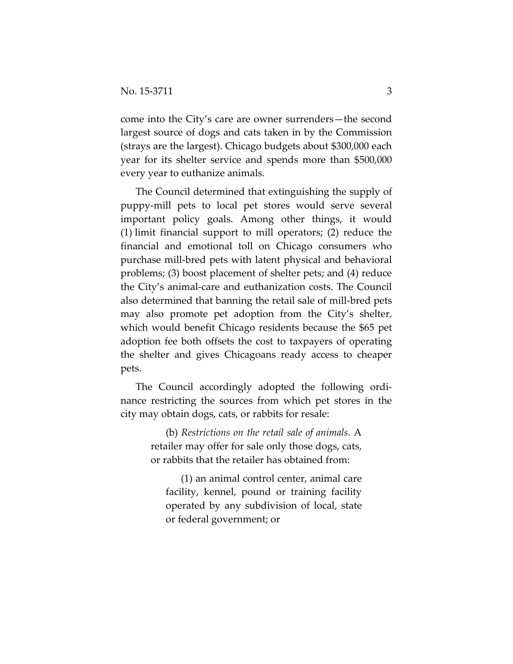come into the City's care are owner surrenders—the second largest source of dogs and cats taken in by the Commission (strays are the largest). Chicago budgets about \$300,000 each year for its shelter service and spends more than \$500,000 every year to euthanize animals.

The Council determined that extinguishing the supply of puppy-mill pets to local pet stores would serve several important policy goals. Among other things, it would (1) limit financial support to mill operators; (2) reduce the financial and emotional toll on Chicago consumers who purchase mill-bred pets with latent physical and behavioral problems; (3) boost placement of shelter pets; and (4) reduce the City's animal-care and euthanization costs. The Council also determined that banning the retail sale of mill-bred pets may also promote pet adoption from the City's shelter, which would benefit Chicago residents because the \$65 pet adoption fee both offsets the cost to taxpayers of operating the shelter and gives Chicagoans ready access to cheaper pets.

The Council accordingly adopted the following ordinance restricting the sources from which pet stores in the city may obtain dogs, cats, or rabbits for resale:

> (b) *Restrictions on the retail sale of animals.* A retailer may offer for sale only those dogs, cats, or rabbits that the retailer has obtained from:

(1) an animal control center, animal care facility, kennel, pound or training facility operated by any subdivision of local, state or federal government; or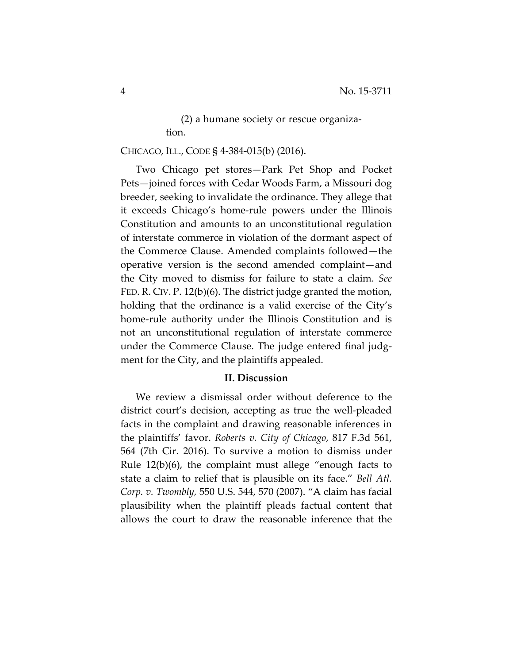(2) a humane society or rescue organization.

# CHICAGO, ILL., CODE § 4-384-015(b) (2016).

Two Chicago pet stores—Park Pet Shop and Pocket Pets—joined forces with Cedar Woods Farm, a Missouri dog breeder, seeking to invalidate the ordinance. They allege that it exceeds Chicago's home-rule powers under the Illinois Constitution and amounts to an unconstitutional regulation of interstate commerce in violation of the dormant aspect of the Commerce Clause. Amended complaints followed—the operative version is the second amended complaint—and the City moved to dismiss for failure to state a claim. *See*  FED. R. CIV. P. 12(b)(6). The district judge granted the motion, holding that the ordinance is a valid exercise of the City's home-rule authority under the Illinois Constitution and is not an unconstitutional regulation of interstate commerce under the Commerce Clause. The judge entered final judgment for the City, and the plaintiffs appealed.

## **II. Discussion**

We review a dismissal order without deference to the district court's decision, accepting as true the well-pleaded facts in the complaint and drawing reasonable inferences in the plaintiffs' favor. *Roberts v. City of Chicago*, 817 F.3d 561, 564 (7th Cir. 2016). To survive a motion to dismiss under Rule 12(b)(6), the complaint must allege "enough facts to state a claim to relief that is plausible on its face." *Bell Atl. Corp. v. Twombly,* 550 U.S. 544, 570 (2007). "A claim has facial plausibility when the plaintiff pleads factual content that allows the court to draw the reasonable inference that the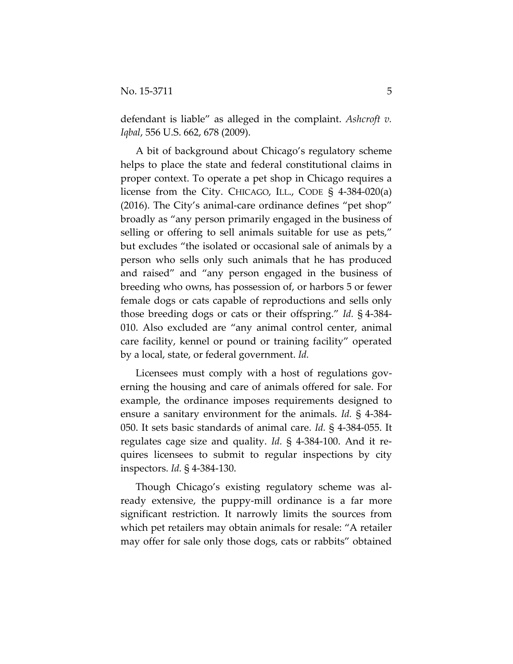defendant is liable" as alleged in the complaint. *Ashcroft v. Iqbal*, 556 U.S. 662, 678 (2009).

A bit of background about Chicago's regulatory scheme helps to place the state and federal constitutional claims in proper context. To operate a pet shop in Chicago requires a license from the City. CHICAGO, ILL., CODE § 4-384-020(a) (2016). The City's animal-care ordinance defines "pet shop" broadly as "any person primarily engaged in the business of selling or offering to sell animals suitable for use as pets," but excludes "the isolated or occasional sale of animals by a person who sells only such animals that he has produced and raised" and "any person engaged in the business of breeding who owns, has possession of, or harbors 5 or fewer female dogs or cats capable of reproductions and sells only those breeding dogs or cats or their offspring." *Id.* § 4-384- 010. Also excluded are "any animal control center, animal care facility, kennel or pound or training facility" operated by a local, state, or federal government. *Id.*

Licensees must comply with a host of regulations governing the housing and care of animals offered for sale. For example, the ordinance imposes requirements designed to ensure a sanitary environment for the animals. *Id.* § 4-384- 050. It sets basic standards of animal care. *Id.* § 4-384-055. It regulates cage size and quality. *Id.* § 4-384-100. And it requires licensees to submit to regular inspections by city inspectors. *Id.* § 4-384-130.

Though Chicago's existing regulatory scheme was already extensive, the puppy-mill ordinance is a far more significant restriction. It narrowly limits the sources from which pet retailers may obtain animals for resale: "A retailer may offer for sale only those dogs, cats or rabbits" obtained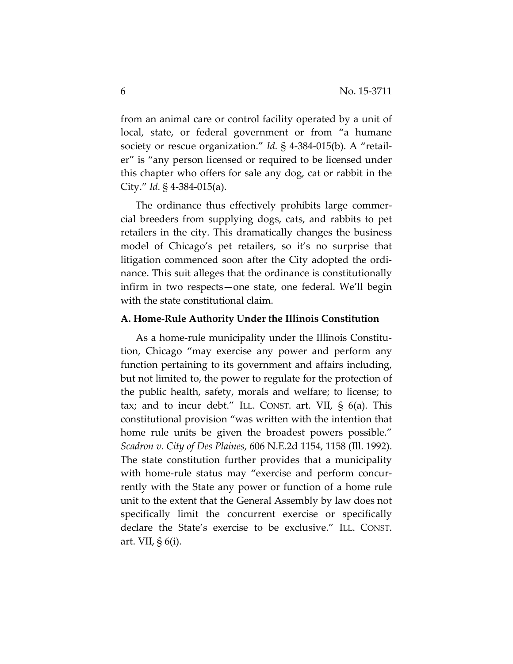from an animal care or control facility operated by a unit of local, state, or federal government or from "a humane society or rescue organization." *Id.* § 4-384-015(b). A "retailer" is "any person licensed or required to be licensed under this chapter who offers for sale any dog, cat or rabbit in the City." *Id.* § 4-384-015(a).

The ordinance thus effectively prohibits large commercial breeders from supplying dogs, cats, and rabbits to pet retailers in the city. This dramatically changes the business model of Chicago's pet retailers, so it's no surprise that litigation commenced soon after the City adopted the ordinance. This suit alleges that the ordinance is constitutionally infirm in two respects—one state, one federal. We'll begin with the state constitutional claim.

### **A. Home-Rule Authority Under the Illinois Constitution**

As a home-rule municipality under the Illinois Constitution, Chicago "may exercise any power and perform any function pertaining to its government and affairs including, but not limited to, the power to regulate for the protection of the public health, safety, morals and welfare; to license; to tax; and to incur debt." ILL. CONST. art. VII, § 6(a). This constitutional provision "was written with the intention that home rule units be given the broadest powers possible." *Scadron v. City of Des Plaines*, 606 N.E.2d 1154, 1158 (Ill. 1992). The state constitution further provides that a municipality with home-rule status may "exercise and perform concurrently with the State any power or function of a home rule unit to the extent that the General Assembly by law does not specifically limit the concurrent exercise or specifically declare the State's exercise to be exclusive." ILL. CONST. art. VII, § 6(i).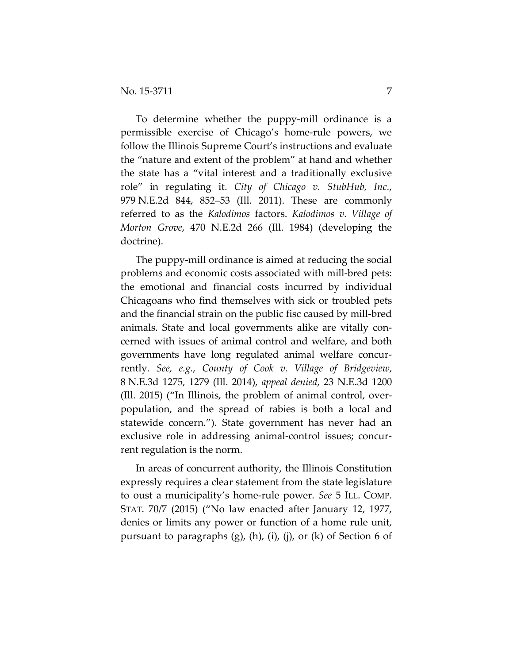To determine whether the puppy-mill ordinance is a permissible exercise of Chicago's home-rule powers, we follow the Illinois Supreme Court's instructions and evaluate the "nature and extent of the problem" at hand and whether the state has a "vital interest and a traditionally exclusive role" in regulating it. *City of Chicago v. StubHub, Inc.*, 979 N.E.2d 844, 852–53 (Ill. 2011). These are commonly referred to as the *Kalodimos* factors. *Kalodimos v. Village of Morton Grove*, 470 N.E.2d 266 (Ill. 1984) (developing the doctrine).

The puppy-mill ordinance is aimed at reducing the social problems and economic costs associated with mill-bred pets: the emotional and financial costs incurred by individual Chicagoans who find themselves with sick or troubled pets and the financial strain on the public fisc caused by mill-bred animals. State and local governments alike are vitally concerned with issues of animal control and welfare, and both governments have long regulated animal welfare concurrently. *See, e.g.*, *County of Cook v. Village of Bridgeview*, 8 N.E.3d 1275, 1279 (Ill. 2014), *appeal denied*, 23 N.E.3d 1200 (Ill. 2015) ("In Illinois, the problem of animal control, overpopulation, and the spread of rabies is both a local and statewide concern."). State government has never had an exclusive role in addressing animal-control issues; concurrent regulation is the norm.

In areas of concurrent authority, the Illinois Constitution expressly requires a clear statement from the state legislature to oust a municipality's home-rule power. *See* 5 ILL. COMP. STAT. 70/7 (2015) ("No law enacted after January 12, 1977, denies or limits any power or function of a home rule unit, pursuant to paragraphs  $(g)$ ,  $(h)$ ,  $(i)$ ,  $(j)$ , or  $(k)$  of Section 6 of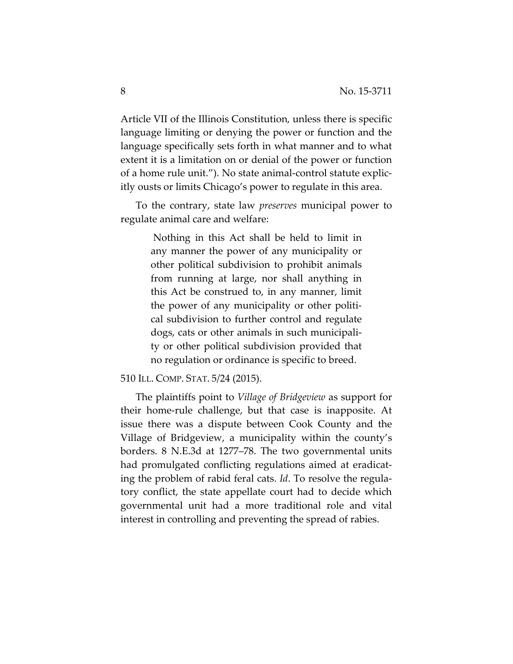Article VII of the Illinois Constitution, unless there is specific language limiting or denying the power or function and the language specifically sets forth in what manner and to what extent it is a limitation on or denial of the power or function of a home rule unit."). No state animal-control statute explicitly ousts or limits Chicago's power to regulate in this area.

To the contrary, state law *preserves* municipal power to regulate animal care and welfare:

> Nothing in this Act shall be held to limit in any manner the power of any municipality or other political subdivision to prohibit animals from running at large, nor shall anything in this Act be construed to, in any manner, limit the power of any municipality or other political subdivision to further control and regulate dogs, cats or other animals in such municipality or other political subdivision provided that no regulation or ordinance is specific to breed.

### 510 ILL. COMP. STAT. 5/24 (2015).

The plaintiffs point to *Village of Bridgeview* as support for their home-rule challenge, but that case is inapposite. At issue there was a dispute between Cook County and the Village of Bridgeview, a municipality within the county's borders. 8 N.E.3d at 1277–78. The two governmental units had promulgated conflicting regulations aimed at eradicating the problem of rabid feral cats. *Id*. To resolve the regulatory conflict, the state appellate court had to decide which governmental unit had a more traditional role and vital interest in controlling and preventing the spread of rabies.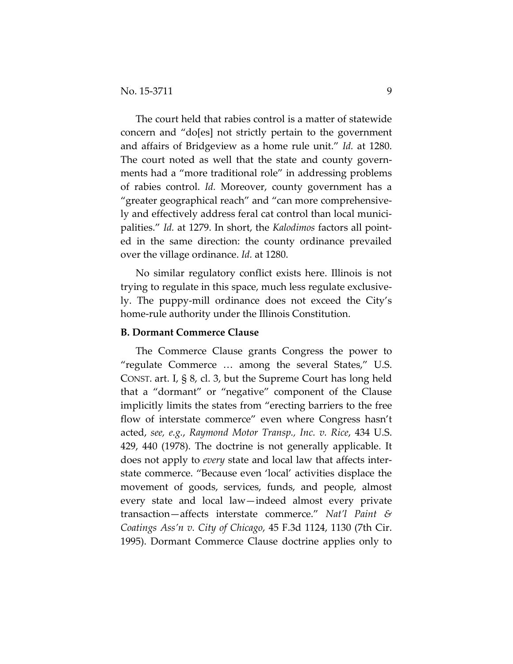The court held that rabies control is a matter of statewide concern and "do[es] not strictly pertain to the government and affairs of Bridgeview as a home rule unit." *Id.* at 1280. The court noted as well that the state and county governments had a "more traditional role" in addressing problems of rabies control. *Id.* Moreover, county government has a "greater geographical reach" and "can more comprehensively and effectively address feral cat control than local municipalities." *Id.* at 1279. In short, the *Kalodimos* factors all pointed in the same direction: the county ordinance prevailed over the village ordinance. *Id.* at 1280.

No similar regulatory conflict exists here. Illinois is not trying to regulate in this space, much less regulate exclusively. The puppy-mill ordinance does not exceed the City's home-rule authority under the Illinois Constitution.

## **B. Dormant Commerce Clause**

The Commerce Clause grants Congress the power to "regulate Commerce … among the several States," U.S. CONST. art. I, § 8, cl. 3, but the Supreme Court has long held that a "dormant" or "negative" component of the Clause implicitly limits the states from "erecting barriers to the free flow of interstate commerce" even where Congress hasn't acted, *see, e.g.*, *Raymond Motor Transp., Inc. v. Rice*, 434 U.S. 429, 440 (1978). The doctrine is not generally applicable. It does not apply to *every* state and local law that affects interstate commerce. "Because even 'local' activities displace the movement of goods, services, funds, and people, almost every state and local law—indeed almost every private transaction—affects interstate commerce." *Nat'l Paint & Coatings Ass'n v. City of Chicago*, 45 F.3d 1124, 1130 (7th Cir. 1995). Dormant Commerce Clause doctrine applies only to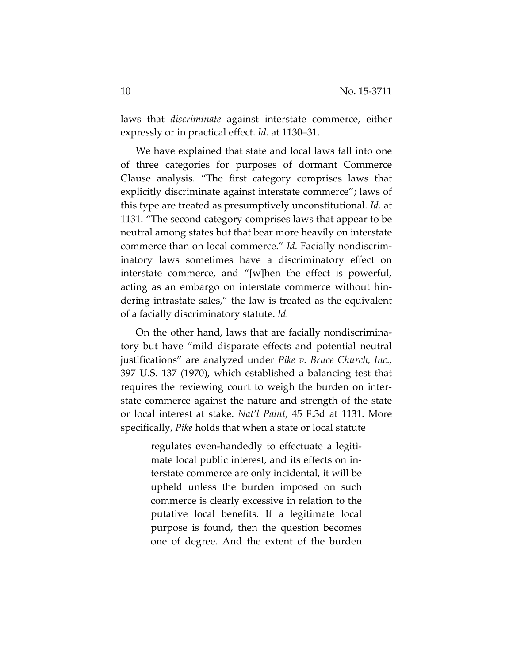laws that *discriminate* against interstate commerce, either expressly or in practical effect. *Id.* at 1130–31.

We have explained that state and local laws fall into one of three categories for purposes of dormant Commerce Clause analysis. "The first category comprises laws that explicitly discriminate against interstate commerce"; laws of this type are treated as presumptively unconstitutional. *Id.* at 1131. "The second category comprises laws that appear to be neutral among states but that bear more heavily on interstate commerce than on local commerce." *Id.* Facially nondiscriminatory laws sometimes have a discriminatory effect on interstate commerce, and "[w]hen the effect is powerful, acting as an embargo on interstate commerce without hindering intrastate sales," the law is treated as the equivalent of a facially discriminatory statute. *Id.*

On the other hand, laws that are facially nondiscriminatory but have "mild disparate effects and potential neutral justifications" are analyzed under *Pike v. Bruce Church, Inc.*, 397 U.S. 137 (1970), which established a balancing test that requires the reviewing court to weigh the burden on interstate commerce against the nature and strength of the state or local interest at stake. *Nat'l Paint*, 45 F.3d at 1131. More specifically, *Pike* holds that when a state or local statute

> regulates even-handedly to effectuate a legitimate local public interest, and its effects on interstate commerce are only incidental, it will be upheld unless the burden imposed on such commerce is clearly excessive in relation to the putative local benefits. If a legitimate local purpose is found, then the question becomes one of degree. And the extent of the burden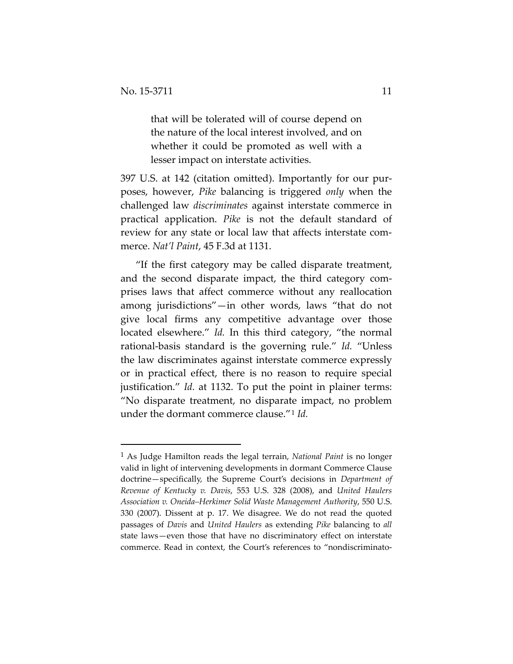$\overline{a}$ 

that will be tolerated will of course depend on the nature of the local interest involved, and on whether it could be promoted as well with a lesser impact on interstate activities.

397 U.S. at 142 (citation omitted). Importantly for our purposes, however, *Pike* balancing is triggered *only* when the challenged law *discriminates* against interstate commerce in practical application. *Pike* is not the default standard of review for any state or local law that affects interstate commerce. *Nat'l Paint*, 45 F.3d at 1131.

"If the first category may be called disparate treatment, and the second disparate impact, the third category comprises laws that affect commerce without any reallocation among jurisdictions"—in other words, laws "that do not give local firms any competitive advantage over those located elsewhere." *Id.* In this third category, "the normal rational-basis standard is the governing rule." *Id.* "Unless the law discriminates against interstate commerce expressly or in practical effect, there is no reason to require special justification." *Id.* at 1132. To put the point in plainer terms: "No disparate treatment, no disparate impact, no problem under the dormant commerce clause."[1](#page-10-0) *Id.*

<span id="page-10-0"></span><sup>1</sup> As Judge Hamilton reads the legal terrain, *National Paint* is no longer valid in light of intervening developments in dormant Commerce Clause doctrine—specifically, the Supreme Court's decisions in *Department of Revenue of Kentucky v. Davis*, 553 U.S. 328 (2008), and *United Haulers Association v. Oneida–Herkimer Solid Waste Management Authority*, 550 U.S. 330 (2007). Dissent at p. 17. We disagree. We do not read the quoted passages of *Davis* and *United Haulers* as extending *Pike* balancing to *all* state laws—even those that have no discriminatory effect on interstate commerce. Read in context, the Court's references to "nondiscriminato-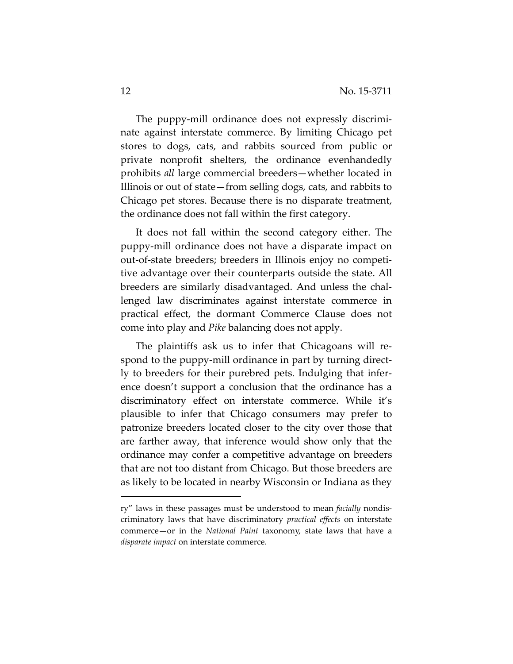The puppy-mill ordinance does not expressly discriminate against interstate commerce. By limiting Chicago pet stores to dogs, cats, and rabbits sourced from public or private nonprofit shelters, the ordinance evenhandedly prohibits *all* large commercial breeders—whether located in Illinois or out of state—from selling dogs, cats, and rabbits to Chicago pet stores. Because there is no disparate treatment, the ordinance does not fall within the first category.

It does not fall within the second category either. The puppy-mill ordinance does not have a disparate impact on out-of-state breeders; breeders in Illinois enjoy no competitive advantage over their counterparts outside the state. All breeders are similarly disadvantaged. And unless the challenged law discriminates against interstate commerce in practical effect, the dormant Commerce Clause does not come into play and *Pike* balancing does not apply.

The plaintiffs ask us to infer that Chicagoans will respond to the puppy-mill ordinance in part by turning directly to breeders for their purebred pets. Indulging that inference doesn't support a conclusion that the ordinance has a discriminatory effect on interstate commerce. While it's plausible to infer that Chicago consumers may prefer to patronize breeders located closer to the city over those that are farther away, that inference would show only that the ordinance may confer a competitive advantage on breeders that are not too distant from Chicago. But those breeders are as likely to be located in nearby Wisconsin or Indiana as they

 $\overline{a}$ 

ry" laws in these passages must be understood to mean *facially* nondiscriminatory laws that have discriminatory *practical effects* on interstate commerce—or in the *National Paint* taxonomy, state laws that have a *disparate impact* on interstate commerce.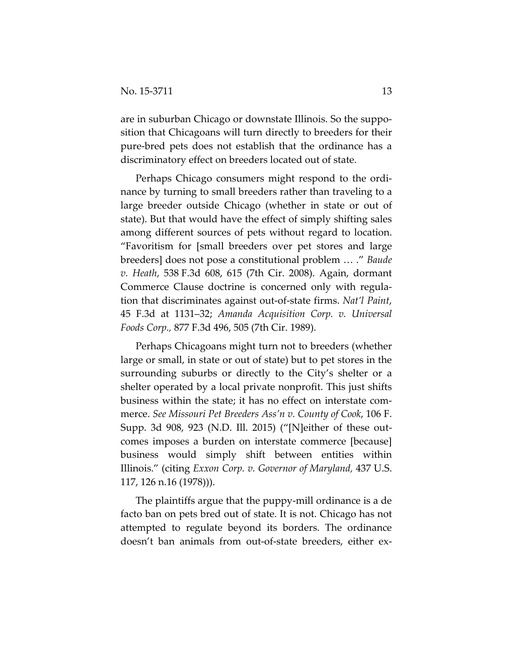are in suburban Chicago or downstate Illinois. So the supposition that Chicagoans will turn directly to breeders for their pure-bred pets does not establish that the ordinance has a discriminatory effect on breeders located out of state.

Perhaps Chicago consumers might respond to the ordinance by turning to small breeders rather than traveling to a large breeder outside Chicago (whether in state or out of state). But that would have the effect of simply shifting sales among different sources of pets without regard to location. "Favoritism for [small breeders over pet stores and large breeders] does not pose a constitutional problem … ." *Baude v. Heath*, 538 F.3d 608, 615 (7th Cir. 2008). Again, dormant Commerce Clause doctrine is concerned only with regulation that discriminates against out-of-state firms. *Nat'l Paint*, 45 F.3d at 1131–32; *Amanda Acquisition Corp. v. Universal Foods Corp.,* 877 F.3d 496, 505 (7th Cir. 1989).

Perhaps Chicagoans might turn not to breeders (whether large or small, in state or out of state) but to pet stores in the surrounding suburbs or directly to the City's shelter or a shelter operated by a local private nonprofit. This just shifts business within the state; it has no effect on interstate commerce. *See Missouri Pet Breeders Ass'n v. County of Cook*, 106 F. Supp. 3d 908, 923 (N.D. Ill. 2015) ("[N]either of these outcomes imposes a burden on interstate commerce [because] business would simply shift between entities within Illinois." (citing *Exxon Corp. v. Governor of Maryland,* 437 U.S. 117, 126 n.16 (1978))).

The plaintiffs argue that the puppy-mill ordinance is a de facto ban on pets bred out of state. It is not. Chicago has not attempted to regulate beyond its borders. The ordinance doesn't ban animals from out-of-state breeders, either ex-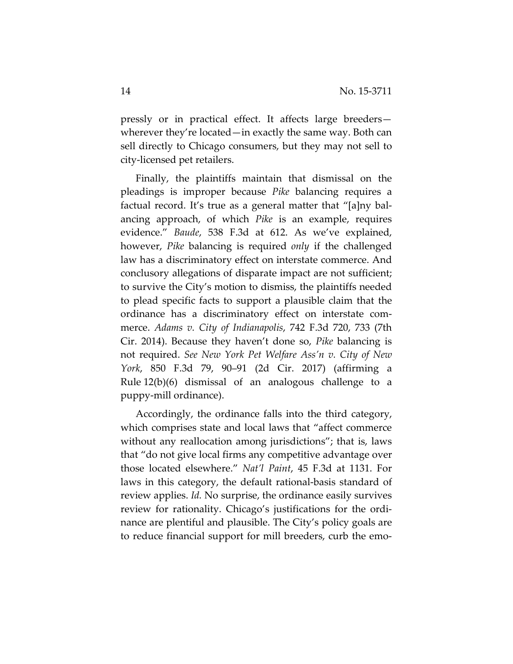pressly or in practical effect. It affects large breeders wherever they're located—in exactly the same way. Both can sell directly to Chicago consumers, but they may not sell to city-licensed pet retailers.

Finally, the plaintiffs maintain that dismissal on the pleadings is improper because *Pike* balancing requires a factual record. It's true as a general matter that "[a]ny balancing approach, of which *Pike* is an example, requires evidence." *Baude*, 538 F.3d at 612. As we've explained, however, *Pike* balancing is required *only* if the challenged law has a discriminatory effect on interstate commerce. And conclusory allegations of disparate impact are not sufficient; to survive the City's motion to dismiss, the plaintiffs needed to plead specific facts to support a plausible claim that the ordinance has a discriminatory effect on interstate commerce. *Adams v. City of Indianapolis*, 742 F.3d 720, 733 (7th Cir. 2014). Because they haven't done so, *Pike* balancing is not required. *See New York Pet Welfare Ass'n v. City of New York*, 850 F.3d 79, 90–91 (2d Cir. 2017) (affirming a Rule 12(b)(6) dismissal of an analogous challenge to a puppy-mill ordinance).

Accordingly, the ordinance falls into the third category, which comprises state and local laws that "affect commerce without any reallocation among jurisdictions"; that is, laws that "do not give local firms any competitive advantage over those located elsewhere." *Nat'l Paint*, 45 F.3d at 1131. For laws in this category, the default rational-basis standard of review applies. *Id.* No surprise, the ordinance easily survives review for rationality. Chicago's justifications for the ordinance are plentiful and plausible. The City's policy goals are to reduce financial support for mill breeders, curb the emo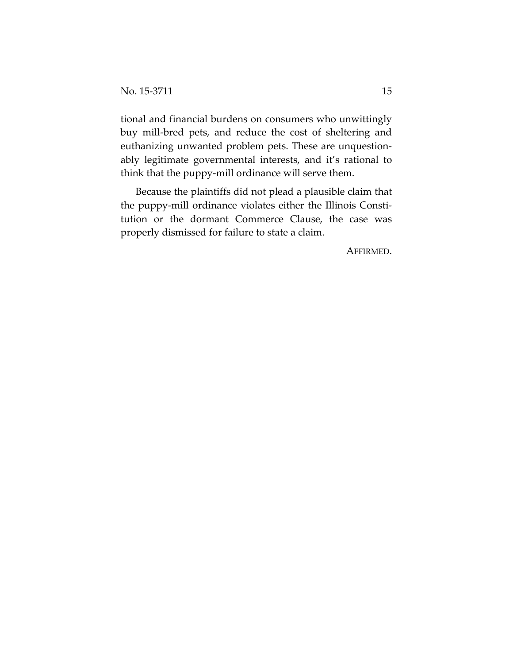tional and financial burdens on consumers who unwittingly buy mill-bred pets, and reduce the cost of sheltering and euthanizing unwanted problem pets. These are unquestionably legitimate governmental interests, and it's rational to think that the puppy-mill ordinance will serve them.

Because the plaintiffs did not plead a plausible claim that the puppy-mill ordinance violates either the Illinois Constitution or the dormant Commerce Clause, the case was properly dismissed for failure to state a claim.

AFFIRMED.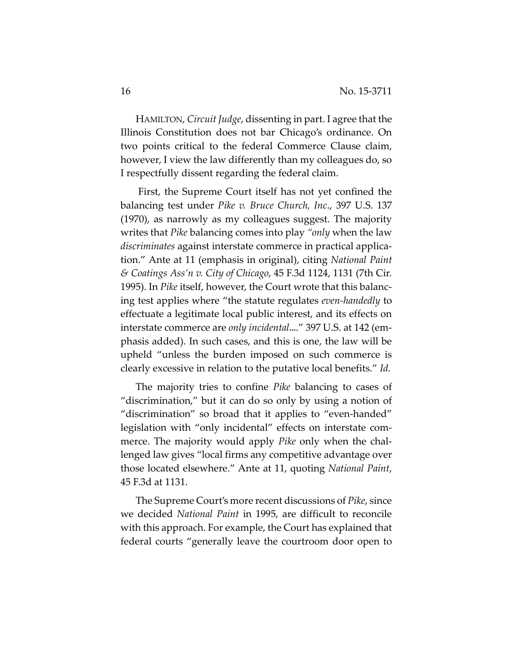HAMILTON, *Circuit Judge*, dissenting in part. I agree that the Illinois Constitution does not bar Chicago's ordinance. On two points critical to the federal Commerce Clause claim, however, I view the law differently than my colleagues do, so I respectfully dissent regarding the federal claim.

First, the Supreme Court itself has not yet confined the balancing test under *Pike v. Bruce Church, Inc*., 397 U.S. 137 (1970), as narrowly as my colleagues suggest. The majority writes that *Pike* balancing comes into play *"only* when the law *discriminates* against interstate commerce in practical application." Ante at 11 (emphasis in original), citing *National Paint & Coatings Ass'n v. City of Chicago*, 45 F.3d 1124, 1131 (7th Cir. 1995). In *Pike* itself, however, the Court wrote that this balancing test applies where "the statute regulates *even-handedly* to effectuate a legitimate local public interest, and its effects on interstate commerce are *only incidental*...." 397 U.S. at 142 (emphasis added). In such cases, and this is one, the law will be upheld "unless the burden imposed on such commerce is clearly excessive in relation to the putative local benefits." *Id.*

The majority tries to confine *Pike* balancing to cases of "discrimination," but it can do so only by using a notion of "discrimination" so broad that it applies to "even-handed" legislation with "only incidental" effects on interstate commerce. The majority would apply *Pike* only when the challenged law gives "local firms any competitive advantage over those located elsewhere." Ante at 11, quoting *National Paint*, 45 F.3d at 1131.

The Supreme Court's more recent discussions of *Pike*, since we decided *National Paint* in 1995, are difficult to reconcile with this approach. For example, the Court has explained that federal courts "generally leave the courtroom door open to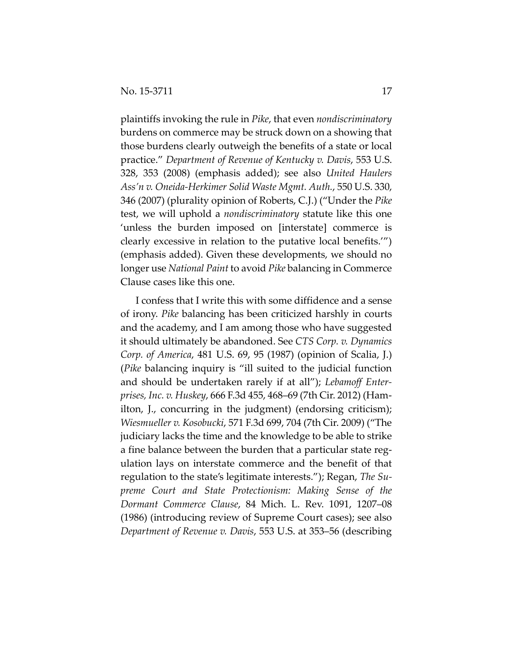plaintiffs invoking the rule in *Pike*, that even *nondiscriminatory*  burdens on commerce may be struck down on a showing that those burdens clearly outweigh the benefits of a state or local practice." *Department of Revenue of Kentucky v. Davis*, 553 U.S. 328, 353 (2008) (emphasis added); see also *United Haulers Ass'n v. Oneida-Herkimer Solid Waste Mgmt. Auth.*, 550 U.S. 330, 346 (2007) (plurality opinion of Roberts, C.J.) ("Under the *Pike*  test, we will uphold a *nondiscriminatory* statute like this one 'unless the burden imposed on [interstate] commerce is clearly excessive in relation to the putative local benefits.'") (emphasis added). Given these developments, we should no longer use *National Paint* to avoid *Pike* balancing in Commerce Clause cases like this one.

I confess that I write this with some diffidence and a sense of irony. *Pike* balancing has been criticized harshly in courts and the academy, and I am among those who have suggested it should ultimately be abandoned. See *CTS Corp. v. Dynamics Corp. of America*, 481 U.S. 69, 95 (1987) (opinion of Scalia, J.) (*Pike* balancing inquiry is "ill suited to the judicial function and should be undertaken rarely if at all"); *Lebamoff Enterprises, Inc. v. Huskey*, 666 F.3d 455, 468–69 (7th Cir. 2012) (Hamilton, J., concurring in the judgment) (endorsing criticism); *Wiesmueller v. Kosobucki*, 571 F.3d 699, 704 (7th Cir. 2009) ("The judiciary lacks the time and the knowledge to be able to strike a fine balance between the burden that a particular state regulation lays on interstate commerce and the benefit of that regulation to the state's legitimate interests."); Regan, *The Supreme Court and State Protectionism: Making Sense of the Dormant Commerce Clause*, 84 Mich. L. Rev. 1091, 1207–08 (1986) (introducing review of Supreme Court cases); see also *Department of Revenue v. Davis*, 553 U.S. at 353–56 (describing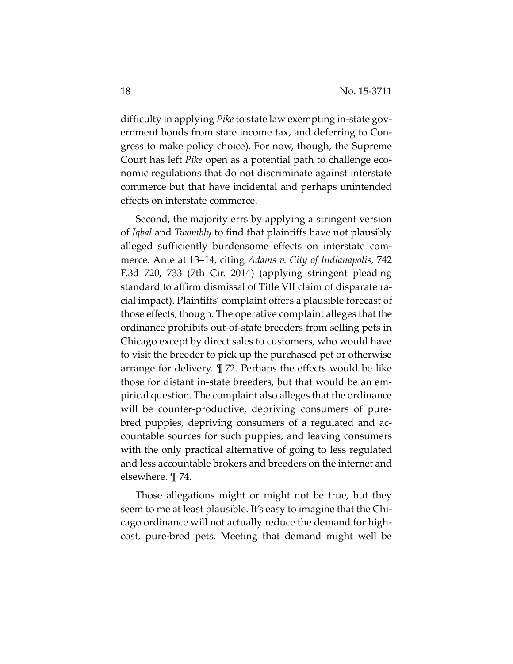difficulty in applying *Pike* to state law exempting in-state government bonds from state income tax, and deferring to Congress to make policy choice). For now, though, the Supreme Court has left *Pike* open as a potential path to challenge economic regulations that do not discriminate against interstate commerce but that have incidental and perhaps unintended effects on interstate commerce.

Second, the majority errs by applying a stringent version of *Iqbal* and *Twombly* to find that plaintiffs have not plausibly alleged sufficiently burdensome effects on interstate commerce. Ante at 13–14, citing *Adams v. City of Indianapolis*, 742 F.3d 720, 733 (7th Cir. 2014) (applying stringent pleading standard to affirm dismissal of Title VII claim of disparate racial impact). Plaintiffs' complaint offers a plausible forecast of those effects, though. The operative complaint alleges that the ordinance prohibits out-of-state breeders from selling pets in Chicago except by direct sales to customers, who would have to visit the breeder to pick up the purchased pet or otherwise arrange for delivery. ¶ 72. Perhaps the effects would be like those for distant in-state breeders, but that would be an empirical question. The complaint also alleges that the ordinance will be counter-productive, depriving consumers of purebred puppies, depriving consumers of a regulated and accountable sources for such puppies, and leaving consumers with the only practical alternative of going to less regulated and less accountable brokers and breeders on the internet and elsewhere. ¶ 74.

Those allegations might or might not be true, but they seem to me at least plausible. It's easy to imagine that the Chicago ordinance will not actually reduce the demand for highcost, pure-bred pets. Meeting that demand might well be